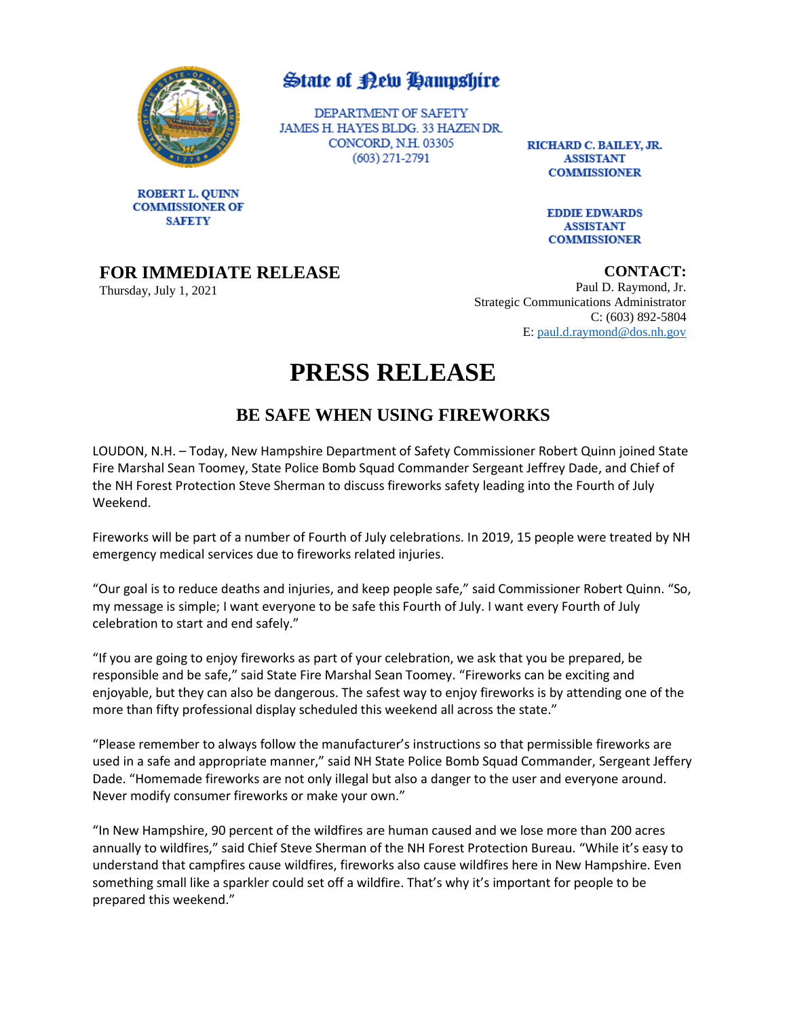

**ROBERT L. QUINN COMMISSIONER OF** 

**SAFETY** 

### **State of Rew Hampshire**

DEPARTMENT OF SAFETY JAMES H. HAYES BLDG. 33 HAZEN DR. CONCORD, N.H. 03305  $(603)$  271-2791

RICHARD C. BAILEY, JR. **ASSISTANT COMMISSIONER** 

> **EDDIE EDWARDS ASSISTANT COMMISSIONER**

### **FOR IMMEDIATE RELEASE**

Thursday, July 1, 2021

**CONTACT:**

Paul D. Raymond, Jr. Strategic Communications Administrator C: (603) 892-5804 E: [paul.d.raymond@dos.nh.gov](mailto:paul.d.raymond@dos.nh.gov)

# **PRESS RELEASE**

## **BE SAFE WHEN USING FIREWORKS**

LOUDON, N.H. – Today, New Hampshire Department of Safety Commissioner Robert Quinn joined State Fire Marshal Sean Toomey, State Police Bomb Squad Commander Sergeant Jeffrey Dade, and Chief of the NH Forest Protection Steve Sherman to discuss fireworks safety leading into the Fourth of July Weekend.

Fireworks will be part of a number of Fourth of July celebrations. In 2019, 15 people were treated by NH emergency medical services due to fireworks related injuries.

"Our goal is to reduce deaths and injuries, and keep people safe," said Commissioner Robert Quinn. "So, my message is simple; I want everyone to be safe this Fourth of July. I want every Fourth of July celebration to start and end safely."

"If you are going to enjoy fireworks as part of your celebration, we ask that you be prepared, be responsible and be safe," said State Fire Marshal Sean Toomey. "Fireworks can be exciting and enjoyable, but they can also be dangerous. The safest way to enjoy fireworks is by attending one of the more than fifty professional display scheduled this weekend all across the state."

"Please remember to always follow the manufacturer's instructions so that permissible fireworks are used in a safe and appropriate manner," said NH State Police Bomb Squad Commander, Sergeant Jeffery Dade. "Homemade fireworks are not only illegal but also a danger to the user and everyone around. Never modify consumer fireworks or make your own."

"In New Hampshire, 90 percent of the wildfires are human caused and we lose more than 200 acres annually to wildfires," said Chief Steve Sherman of the NH Forest Protection Bureau. "While it's easy to understand that campfires cause wildfires, fireworks also cause wildfires here in New Hampshire. Even something small like a sparkler could set off a wildfire. That's why it's important for people to be prepared this weekend."